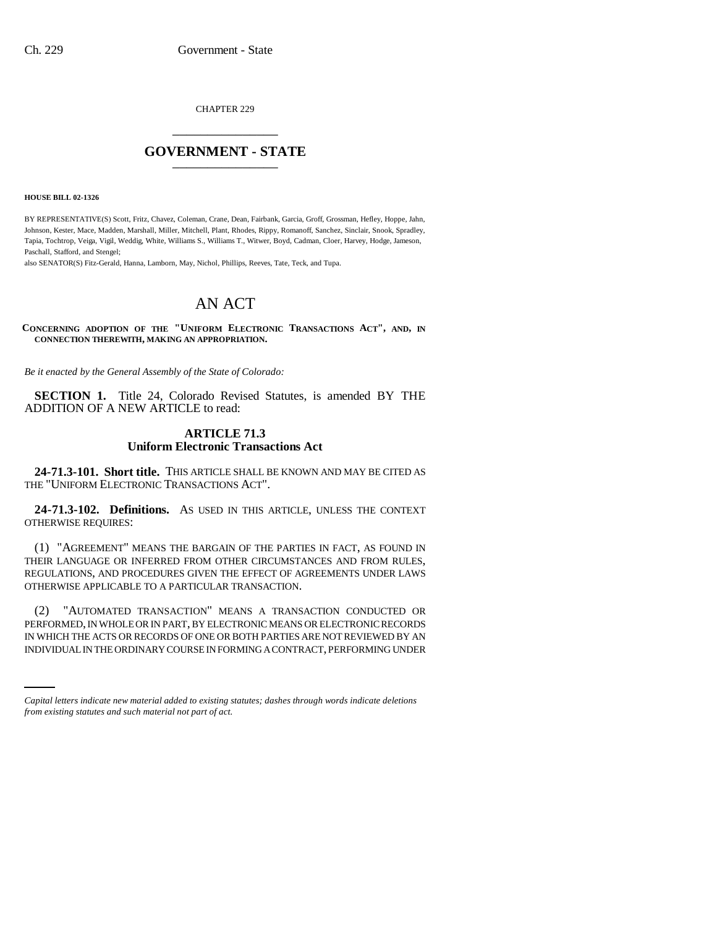CHAPTER 229 \_\_\_\_\_\_\_\_\_\_\_\_\_\_\_

# **GOVERNMENT - STATE** \_\_\_\_\_\_\_\_\_\_\_\_\_\_\_

**HOUSE BILL 02-1326**

BY REPRESENTATIVE(S) Scott, Fritz, Chavez, Coleman, Crane, Dean, Fairbank, Garcia, Groff, Grossman, Hefley, Hoppe, Jahn, Johnson, Kester, Mace, Madden, Marshall, Miller, Mitchell, Plant, Rhodes, Rippy, Romanoff, Sanchez, Sinclair, Snook, Spradley, Tapia, Tochtrop, Veiga, Vigil, Weddig, White, Williams S., Williams T., Witwer, Boyd, Cadman, Cloer, Harvey, Hodge, Jameson, Paschall, Stafford, and Stengel;

also SENATOR(S) Fitz-Gerald, Hanna, Lamborn, May, Nichol, Phillips, Reeves, Tate, Teck, and Tupa.

# AN ACT

**CONCERNING ADOPTION OF THE "UNIFORM ELECTRONIC TRANSACTIONS ACT", AND, IN CONNECTION THEREWITH, MAKING AN APPROPRIATION.**

*Be it enacted by the General Assembly of the State of Colorado:*

**SECTION 1.** Title 24, Colorado Revised Statutes, is amended BY THE ADDITION OF A NEW ARTICLE to read:

## **ARTICLE 71.3 Uniform Electronic Transactions Act**

**24-71.3-101. Short title.** THIS ARTICLE SHALL BE KNOWN AND MAY BE CITED AS THE "UNIFORM ELECTRONIC TRANSACTIONS ACT".

**24-71.3-102. Definitions.** AS USED IN THIS ARTICLE, UNLESS THE CONTEXT OTHERWISE REQUIRES:

(1) "AGREEMENT" MEANS THE BARGAIN OF THE PARTIES IN FACT, AS FOUND IN THEIR LANGUAGE OR INFERRED FROM OTHER CIRCUMSTANCES AND FROM RULES, REGULATIONS, AND PROCEDURES GIVEN THE EFFECT OF AGREEMENTS UNDER LAWS OTHERWISE APPLICABLE TO A PARTICULAR TRANSACTION.

PERFORMED, IN WHOLE OR IN PART, BY ELECTRONIC MEANS OR ELECTRONIC RECORDS (2) "AUTOMATED TRANSACTION" MEANS A TRANSACTION CONDUCTED OR IN WHICH THE ACTS OR RECORDS OF ONE OR BOTH PARTIES ARE NOT REVIEWED BY AN INDIVIDUAL IN THE ORDINARY COURSE IN FORMING A CONTRACT, PERFORMING UNDER

*Capital letters indicate new material added to existing statutes; dashes through words indicate deletions from existing statutes and such material not part of act.*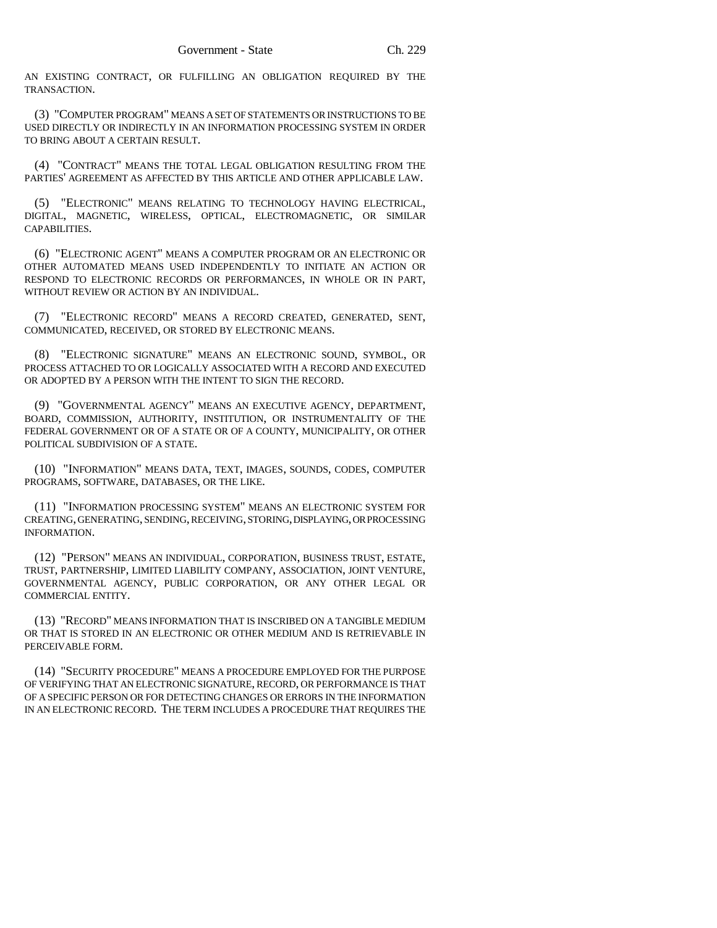AN EXISTING CONTRACT, OR FULFILLING AN OBLIGATION REQUIRED BY THE TRANSACTION.

(3) "COMPUTER PROGRAM" MEANS A SET OF STATEMENTS OR INSTRUCTIONS TO BE USED DIRECTLY OR INDIRECTLY IN AN INFORMATION PROCESSING SYSTEM IN ORDER TO BRING ABOUT A CERTAIN RESULT.

(4) "CONTRACT" MEANS THE TOTAL LEGAL OBLIGATION RESULTING FROM THE PARTIES' AGREEMENT AS AFFECTED BY THIS ARTICLE AND OTHER APPLICABLE LAW.

(5) "ELECTRONIC" MEANS RELATING TO TECHNOLOGY HAVING ELECTRICAL, DIGITAL, MAGNETIC, WIRELESS, OPTICAL, ELECTROMAGNETIC, OR SIMILAR CAPABILITIES.

(6) "ELECTRONIC AGENT" MEANS A COMPUTER PROGRAM OR AN ELECTRONIC OR OTHER AUTOMATED MEANS USED INDEPENDENTLY TO INITIATE AN ACTION OR RESPOND TO ELECTRONIC RECORDS OR PERFORMANCES, IN WHOLE OR IN PART, WITHOUT REVIEW OR ACTION BY AN INDIVIDUAL.

(7) "ELECTRONIC RECORD" MEANS A RECORD CREATED, GENERATED, SENT, COMMUNICATED, RECEIVED, OR STORED BY ELECTRONIC MEANS.

(8) "ELECTRONIC SIGNATURE" MEANS AN ELECTRONIC SOUND, SYMBOL, OR PROCESS ATTACHED TO OR LOGICALLY ASSOCIATED WITH A RECORD AND EXECUTED OR ADOPTED BY A PERSON WITH THE INTENT TO SIGN THE RECORD.

(9) "GOVERNMENTAL AGENCY" MEANS AN EXECUTIVE AGENCY, DEPARTMENT, BOARD, COMMISSION, AUTHORITY, INSTITUTION, OR INSTRUMENTALITY OF THE FEDERAL GOVERNMENT OR OF A STATE OR OF A COUNTY, MUNICIPALITY, OR OTHER POLITICAL SUBDIVISION OF A STATE.

(10) "INFORMATION" MEANS DATA, TEXT, IMAGES, SOUNDS, CODES, COMPUTER PROGRAMS, SOFTWARE, DATABASES, OR THE LIKE.

(11) "INFORMATION PROCESSING SYSTEM" MEANS AN ELECTRONIC SYSTEM FOR CREATING, GENERATING, SENDING, RECEIVING, STORING, DISPLAYING, OR PROCESSING INFORMATION.

(12) "PERSON" MEANS AN INDIVIDUAL, CORPORATION, BUSINESS TRUST, ESTATE, TRUST, PARTNERSHIP, LIMITED LIABILITY COMPANY, ASSOCIATION, JOINT VENTURE, GOVERNMENTAL AGENCY, PUBLIC CORPORATION, OR ANY OTHER LEGAL OR COMMERCIAL ENTITY.

(13) "RECORD" MEANS INFORMATION THAT IS INSCRIBED ON A TANGIBLE MEDIUM OR THAT IS STORED IN AN ELECTRONIC OR OTHER MEDIUM AND IS RETRIEVABLE IN PERCEIVABLE FORM.

(14) "SECURITY PROCEDURE" MEANS A PROCEDURE EMPLOYED FOR THE PURPOSE OF VERIFYING THAT AN ELECTRONIC SIGNATURE, RECORD, OR PERFORMANCE IS THAT OF A SPECIFIC PERSON OR FOR DETECTING CHANGES OR ERRORS IN THE INFORMATION IN AN ELECTRONIC RECORD. THE TERM INCLUDES A PROCEDURE THAT REQUIRES THE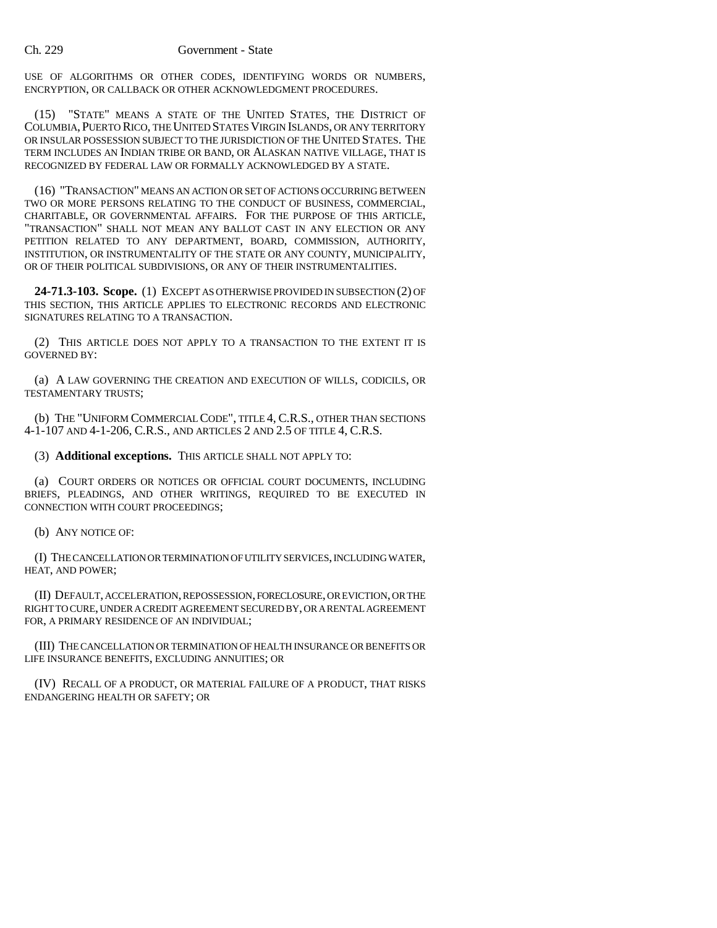### Ch. 229 Government - State

USE OF ALGORITHMS OR OTHER CODES, IDENTIFYING WORDS OR NUMBERS, ENCRYPTION, OR CALLBACK OR OTHER ACKNOWLEDGMENT PROCEDURES.

(15) "STATE" MEANS A STATE OF THE UNITED STATES, THE DISTRICT OF COLUMBIA,PUERTO RICO, THE UNITED STATES VIRGIN ISLANDS, OR ANY TERRITORY OR INSULAR POSSESSION SUBJECT TO THE JURISDICTION OF THE UNITED STATES. THE TERM INCLUDES AN INDIAN TRIBE OR BAND, OR ALASKAN NATIVE VILLAGE, THAT IS RECOGNIZED BY FEDERAL LAW OR FORMALLY ACKNOWLEDGED BY A STATE.

(16) "TRANSACTION" MEANS AN ACTION OR SET OF ACTIONS OCCURRING BETWEEN TWO OR MORE PERSONS RELATING TO THE CONDUCT OF BUSINESS, COMMERCIAL, CHARITABLE, OR GOVERNMENTAL AFFAIRS. FOR THE PURPOSE OF THIS ARTICLE, "TRANSACTION" SHALL NOT MEAN ANY BALLOT CAST IN ANY ELECTION OR ANY PETITION RELATED TO ANY DEPARTMENT, BOARD, COMMISSION, AUTHORITY, INSTITUTION, OR INSTRUMENTALITY OF THE STATE OR ANY COUNTY, MUNICIPALITY, OR OF THEIR POLITICAL SUBDIVISIONS, OR ANY OF THEIR INSTRUMENTALITIES.

**24-71.3-103. Scope.** (1) EXCEPT AS OTHERWISE PROVIDED IN SUBSECTION (2) OF THIS SECTION, THIS ARTICLE APPLIES TO ELECTRONIC RECORDS AND ELECTRONIC SIGNATURES RELATING TO A TRANSACTION.

(2) THIS ARTICLE DOES NOT APPLY TO A TRANSACTION TO THE EXTENT IT IS GOVERNED BY:

(a) A LAW GOVERNING THE CREATION AND EXECUTION OF WILLS, CODICILS, OR TESTAMENTARY TRUSTS;

(b) THE "UNIFORM COMMERCIAL CODE", TITLE 4, C.R.S., OTHER THAN SECTIONS 4-1-107 AND 4-1-206, C.R.S., AND ARTICLES 2 AND 2.5 OF TITLE 4, C.R.S.

(3) **Additional exceptions.** THIS ARTICLE SHALL NOT APPLY TO:

(a) COURT ORDERS OR NOTICES OR OFFICIAL COURT DOCUMENTS, INCLUDING BRIEFS, PLEADINGS, AND OTHER WRITINGS, REQUIRED TO BE EXECUTED IN CONNECTION WITH COURT PROCEEDINGS;

(b) ANY NOTICE OF:

(I) THE CANCELLATION OR TERMINATION OF UTILITY SERVICES, INCLUDING WATER, HEAT, AND POWER;

(II) DEFAULT, ACCELERATION, REPOSSESSION, FORECLOSURE, OR EVICTION, OR THE RIGHT TO CURE, UNDER A CREDIT AGREEMENT SECURED BY, OR A RENTAL AGREEMENT FOR, A PRIMARY RESIDENCE OF AN INDIVIDUAL;

(III) THE CANCELLATION OR TERMINATION OF HEALTH INSURANCE OR BENEFITS OR LIFE INSURANCE BENEFITS, EXCLUDING ANNUITIES; OR

(IV) RECALL OF A PRODUCT, OR MATERIAL FAILURE OF A PRODUCT, THAT RISKS ENDANGERING HEALTH OR SAFETY; OR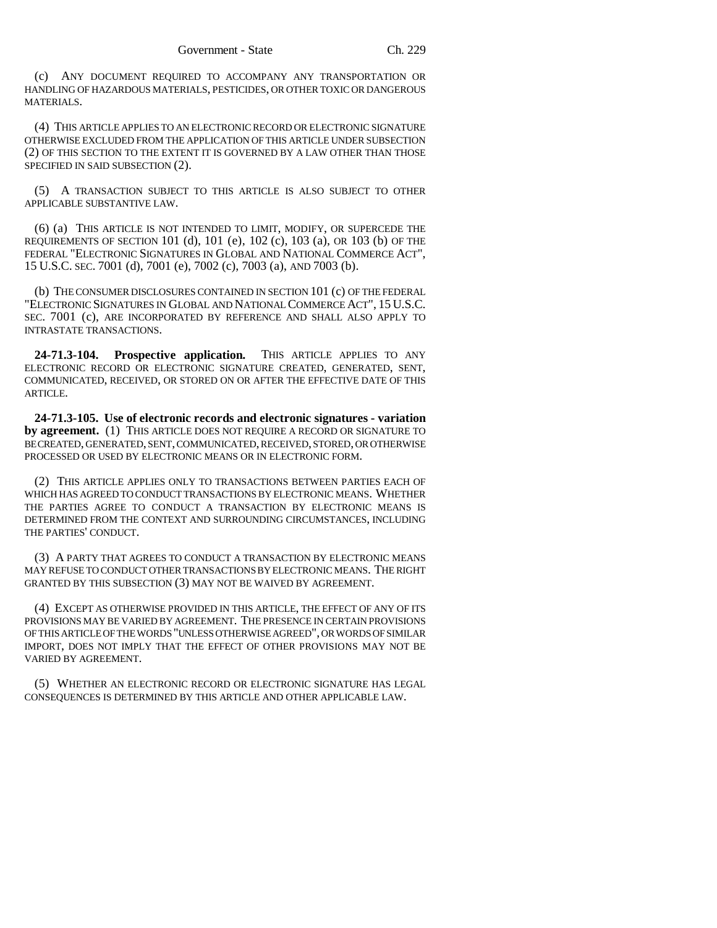(c) ANY DOCUMENT REQUIRED TO ACCOMPANY ANY TRANSPORTATION OR HANDLING OF HAZARDOUS MATERIALS, PESTICIDES, OR OTHER TOXIC OR DANGEROUS MATERIALS.

(4) THIS ARTICLE APPLIES TO AN ELECTRONIC RECORD OR ELECTRONIC SIGNATURE OTHERWISE EXCLUDED FROM THE APPLICATION OF THIS ARTICLE UNDER SUBSECTION (2) OF THIS SECTION TO THE EXTENT IT IS GOVERNED BY A LAW OTHER THAN THOSE SPECIFIED IN SAID SUBSECTION (2).

(5) A TRANSACTION SUBJECT TO THIS ARTICLE IS ALSO SUBJECT TO OTHER APPLICABLE SUBSTANTIVE LAW.

(6) (a) THIS ARTICLE IS NOT INTENDED TO LIMIT, MODIFY, OR SUPERCEDE THE REQUIREMENTS OF SECTION 101 (d), 101 (e), 102 (c), 103 (a), OR 103 (b) OF THE FEDERAL "ELECTRONIC SIGNATURES IN GLOBAL AND NATIONAL COMMERCE ACT", 15 U.S.C. SEC. 7001 (d), 7001 (e), 7002 (c), 7003 (a), AND 7003 (b).

(b) THE CONSUMER DISCLOSURES CONTAINED IN SECTION 101 (c) OF THE FEDERAL "ELECTRONIC SIGNATURES IN GLOBAL AND NATIONAL COMMERCE ACT", 15 U.S.C. SEC. 7001 (c), ARE INCORPORATED BY REFERENCE AND SHALL ALSO APPLY TO INTRASTATE TRANSACTIONS.

**24-71.3-104. Prospective application.** THIS ARTICLE APPLIES TO ANY ELECTRONIC RECORD OR ELECTRONIC SIGNATURE CREATED, GENERATED, SENT, COMMUNICATED, RECEIVED, OR STORED ON OR AFTER THE EFFECTIVE DATE OF THIS ARTICLE.

**24-71.3-105. Use of electronic records and electronic signatures - variation by agreement.** (1) THIS ARTICLE DOES NOT REQUIRE A RECORD OR SIGNATURE TO BE CREATED, GENERATED, SENT, COMMUNICATED, RECEIVED, STORED, OR OTHERWISE PROCESSED OR USED BY ELECTRONIC MEANS OR IN ELECTRONIC FORM.

(2) THIS ARTICLE APPLIES ONLY TO TRANSACTIONS BETWEEN PARTIES EACH OF WHICH HAS AGREED TO CONDUCT TRANSACTIONS BY ELECTRONIC MEANS. WHETHER THE PARTIES AGREE TO CONDUCT A TRANSACTION BY ELECTRONIC MEANS IS DETERMINED FROM THE CONTEXT AND SURROUNDING CIRCUMSTANCES, INCLUDING THE PARTIES' CONDUCT.

(3) A PARTY THAT AGREES TO CONDUCT A TRANSACTION BY ELECTRONIC MEANS MAY REFUSE TO CONDUCT OTHER TRANSACTIONS BY ELECTRONIC MEANS. THE RIGHT GRANTED BY THIS SUBSECTION (3) MAY NOT BE WAIVED BY AGREEMENT.

(4) EXCEPT AS OTHERWISE PROVIDED IN THIS ARTICLE, THE EFFECT OF ANY OF ITS PROVISIONS MAY BE VARIED BY AGREEMENT. THE PRESENCE IN CERTAIN PROVISIONS OF THIS ARTICLE OF THE WORDS "UNLESS OTHERWISE AGREED", OR WORDS OF SIMILAR IMPORT, DOES NOT IMPLY THAT THE EFFECT OF OTHER PROVISIONS MAY NOT BE VARIED BY AGREEMENT.

(5) WHETHER AN ELECTRONIC RECORD OR ELECTRONIC SIGNATURE HAS LEGAL CONSEQUENCES IS DETERMINED BY THIS ARTICLE AND OTHER APPLICABLE LAW.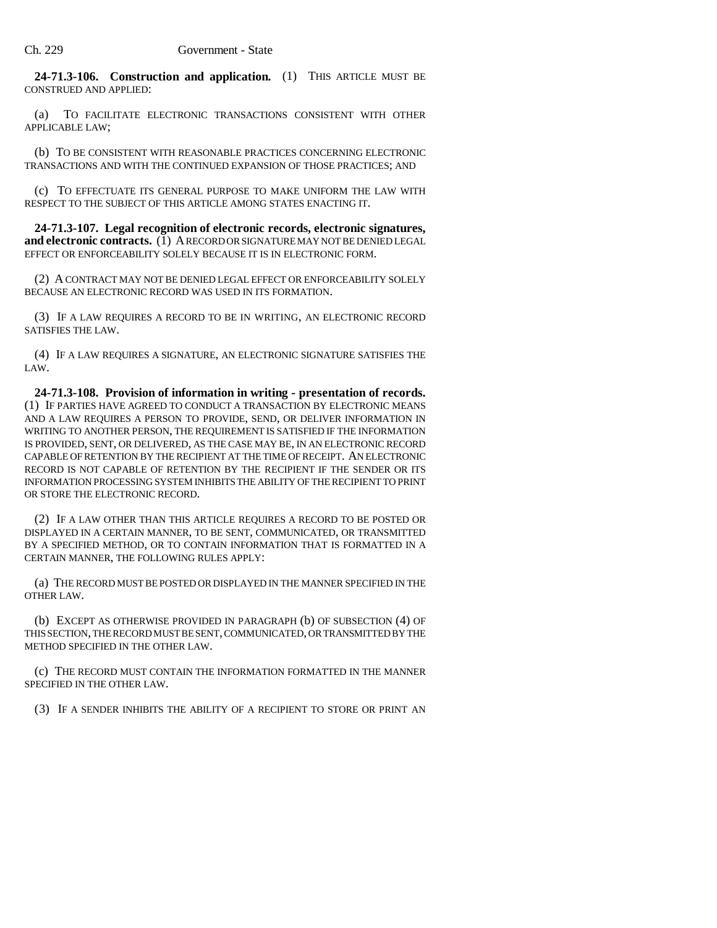**24-71.3-106. Construction and application.** (1) THIS ARTICLE MUST BE CONSTRUED AND APPLIED:

(a) TO FACILITATE ELECTRONIC TRANSACTIONS CONSISTENT WITH OTHER APPLICABLE LAW;

(b) TO BE CONSISTENT WITH REASONABLE PRACTICES CONCERNING ELECTRONIC TRANSACTIONS AND WITH THE CONTINUED EXPANSION OF THOSE PRACTICES; AND

(c) TO EFFECTUATE ITS GENERAL PURPOSE TO MAKE UNIFORM THE LAW WITH RESPECT TO THE SUBJECT OF THIS ARTICLE AMONG STATES ENACTING IT.

**24-71.3-107. Legal recognition of electronic records, electronic signatures, and electronic contracts.** (1) A RECORD OR SIGNATURE MAY NOT BE DENIED LEGAL EFFECT OR ENFORCEABILITY SOLELY BECAUSE IT IS IN ELECTRONIC FORM.

(2) A CONTRACT MAY NOT BE DENIED LEGAL EFFECT OR ENFORCEABILITY SOLELY BECAUSE AN ELECTRONIC RECORD WAS USED IN ITS FORMATION.

(3) IF A LAW REQUIRES A RECORD TO BE IN WRITING, AN ELECTRONIC RECORD SATISFIES THE LAW.

(4) IF A LAW REQUIRES A SIGNATURE, AN ELECTRONIC SIGNATURE SATISFIES THE LAW.

**24-71.3-108. Provision of information in writing - presentation of records.** (1) IF PARTIES HAVE AGREED TO CONDUCT A TRANSACTION BY ELECTRONIC MEANS AND A LAW REQUIRES A PERSON TO PROVIDE, SEND, OR DELIVER INFORMATION IN WRITING TO ANOTHER PERSON, THE REQUIREMENT IS SATISFIED IF THE INFORMATION IS PROVIDED, SENT, OR DELIVERED, AS THE CASE MAY BE, IN AN ELECTRONIC RECORD CAPABLE OF RETENTION BY THE RECIPIENT AT THE TIME OF RECEIPT. AN ELECTRONIC RECORD IS NOT CAPABLE OF RETENTION BY THE RECIPIENT IF THE SENDER OR ITS INFORMATION PROCESSING SYSTEM INHIBITS THE ABILITY OF THE RECIPIENT TO PRINT OR STORE THE ELECTRONIC RECORD.

(2) IF A LAW OTHER THAN THIS ARTICLE REQUIRES A RECORD TO BE POSTED OR DISPLAYED IN A CERTAIN MANNER, TO BE SENT, COMMUNICATED, OR TRANSMITTED BY A SPECIFIED METHOD, OR TO CONTAIN INFORMATION THAT IS FORMATTED IN A CERTAIN MANNER, THE FOLLOWING RULES APPLY:

(a) THE RECORD MUST BE POSTED OR DISPLAYED IN THE MANNER SPECIFIED IN THE OTHER LAW.

(b) EXCEPT AS OTHERWISE PROVIDED IN PARAGRAPH (b) OF SUBSECTION (4) OF THIS SECTION, THE RECORD MUST BE SENT, COMMUNICATED, OR TRANSMITTED BY THE METHOD SPECIFIED IN THE OTHER LAW.

(c) THE RECORD MUST CONTAIN THE INFORMATION FORMATTED IN THE MANNER SPECIFIED IN THE OTHER LAW.

(3) IF A SENDER INHIBITS THE ABILITY OF A RECIPIENT TO STORE OR PRINT AN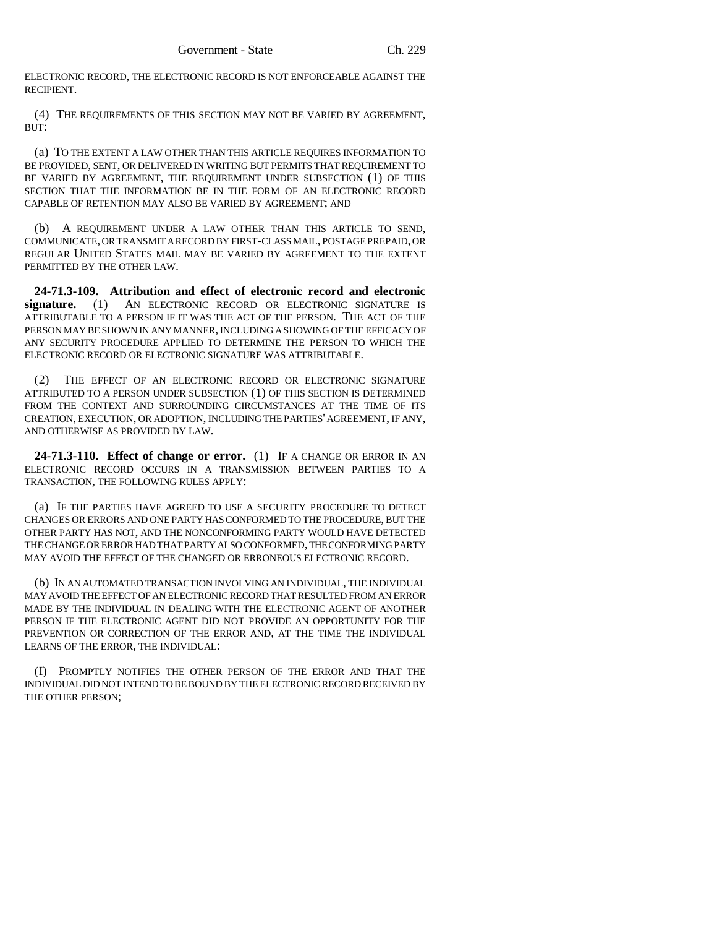ELECTRONIC RECORD, THE ELECTRONIC RECORD IS NOT ENFORCEABLE AGAINST THE RECIPIENT.

(4) THE REQUIREMENTS OF THIS SECTION MAY NOT BE VARIED BY AGREEMENT, BUT:

(a) TO THE EXTENT A LAW OTHER THAN THIS ARTICLE REQUIRES INFORMATION TO BE PROVIDED, SENT, OR DELIVERED IN WRITING BUT PERMITS THAT REQUIREMENT TO BE VARIED BY AGREEMENT, THE REQUIREMENT UNDER SUBSECTION (1) OF THIS SECTION THAT THE INFORMATION BE IN THE FORM OF AN ELECTRONIC RECORD CAPABLE OF RETENTION MAY ALSO BE VARIED BY AGREEMENT; AND

(b) A REQUIREMENT UNDER A LAW OTHER THAN THIS ARTICLE TO SEND, COMMUNICATE, OR TRANSMIT A RECORD BY FIRST-CLASS MAIL, POSTAGE PREPAID, OR REGULAR UNITED STATES MAIL MAY BE VARIED BY AGREEMENT TO THE EXTENT PERMITTED BY THE OTHER LAW.

**24-71.3-109. Attribution and effect of electronic record and electronic signature.** (1) AN ELECTRONIC RECORD OR ELECTRONIC SIGNATURE IS ATTRIBUTABLE TO A PERSON IF IT WAS THE ACT OF THE PERSON. THE ACT OF THE PERSON MAY BE SHOWN IN ANY MANNER, INCLUDING A SHOWING OF THE EFFICACY OF ANY SECURITY PROCEDURE APPLIED TO DETERMINE THE PERSON TO WHICH THE ELECTRONIC RECORD OR ELECTRONIC SIGNATURE WAS ATTRIBUTABLE.

(2) THE EFFECT OF AN ELECTRONIC RECORD OR ELECTRONIC SIGNATURE ATTRIBUTED TO A PERSON UNDER SUBSECTION (1) OF THIS SECTION IS DETERMINED FROM THE CONTEXT AND SURROUNDING CIRCUMSTANCES AT THE TIME OF ITS CREATION, EXECUTION, OR ADOPTION, INCLUDING THE PARTIES' AGREEMENT, IF ANY, AND OTHERWISE AS PROVIDED BY LAW.

**24-71.3-110. Effect of change or error.** (1) IF A CHANGE OR ERROR IN AN ELECTRONIC RECORD OCCURS IN A TRANSMISSION BETWEEN PARTIES TO A TRANSACTION, THE FOLLOWING RULES APPLY:

(a) IF THE PARTIES HAVE AGREED TO USE A SECURITY PROCEDURE TO DETECT CHANGES OR ERRORS AND ONE PARTY HAS CONFORMED TO THE PROCEDURE, BUT THE OTHER PARTY HAS NOT, AND THE NONCONFORMING PARTY WOULD HAVE DETECTED THE CHANGE OR ERROR HAD THAT PARTY ALSO CONFORMED, THE CONFORMING PARTY MAY AVOID THE EFFECT OF THE CHANGED OR ERRONEOUS ELECTRONIC RECORD.

(b) IN AN AUTOMATED TRANSACTION INVOLVING AN INDIVIDUAL, THE INDIVIDUAL MAY AVOID THE EFFECT OF AN ELECTRONIC RECORD THAT RESULTED FROM AN ERROR MADE BY THE INDIVIDUAL IN DEALING WITH THE ELECTRONIC AGENT OF ANOTHER PERSON IF THE ELECTRONIC AGENT DID NOT PROVIDE AN OPPORTUNITY FOR THE PREVENTION OR CORRECTION OF THE ERROR AND, AT THE TIME THE INDIVIDUAL LEARNS OF THE ERROR, THE INDIVIDUAL:

(I) PROMPTLY NOTIFIES THE OTHER PERSON OF THE ERROR AND THAT THE INDIVIDUAL DID NOT INTEND TO BE BOUND BY THE ELECTRONIC RECORD RECEIVED BY THE OTHER PERSON;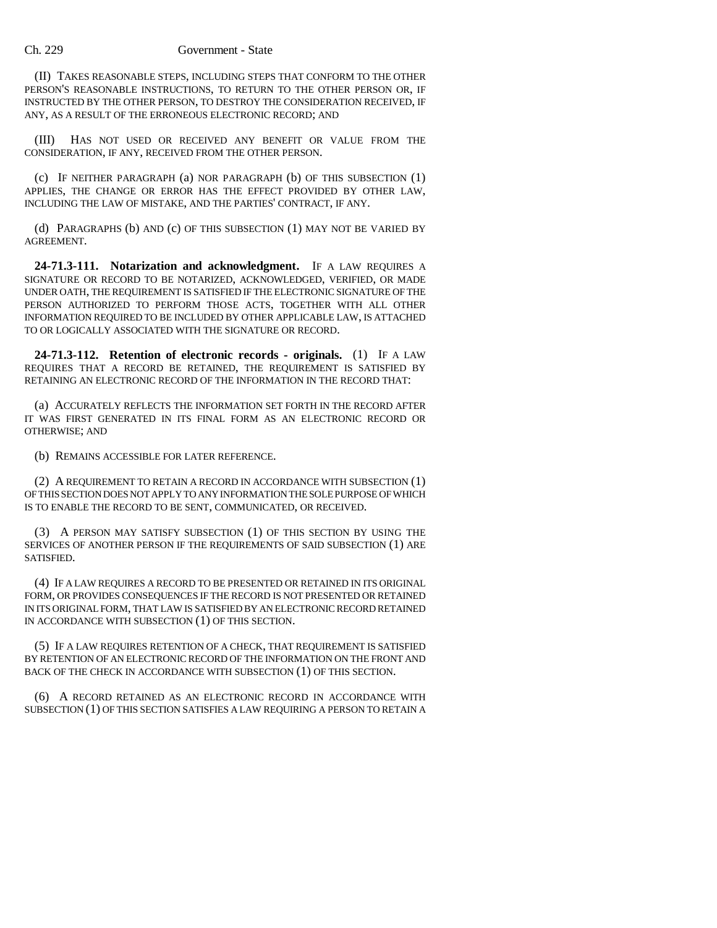(II) TAKES REASONABLE STEPS, INCLUDING STEPS THAT CONFORM TO THE OTHER PERSON'S REASONABLE INSTRUCTIONS, TO RETURN TO THE OTHER PERSON OR, IF INSTRUCTED BY THE OTHER PERSON, TO DESTROY THE CONSIDERATION RECEIVED, IF ANY, AS A RESULT OF THE ERRONEOUS ELECTRONIC RECORD; AND

(III) HAS NOT USED OR RECEIVED ANY BENEFIT OR VALUE FROM THE CONSIDERATION, IF ANY, RECEIVED FROM THE OTHER PERSON.

(c) IF NEITHER PARAGRAPH (a) NOR PARAGRAPH (b) OF THIS SUBSECTION (1) APPLIES, THE CHANGE OR ERROR HAS THE EFFECT PROVIDED BY OTHER LAW, INCLUDING THE LAW OF MISTAKE, AND THE PARTIES' CONTRACT, IF ANY.

(d) PARAGRAPHS (b) AND (c) OF THIS SUBSECTION (1) MAY NOT BE VARIED BY AGREEMENT.

**24-71.3-111. Notarization and acknowledgment.** IF A LAW REQUIRES A SIGNATURE OR RECORD TO BE NOTARIZED, ACKNOWLEDGED, VERIFIED, OR MADE UNDER OATH, THE REQUIREMENT IS SATISFIED IF THE ELECTRONIC SIGNATURE OF THE PERSON AUTHORIZED TO PERFORM THOSE ACTS, TOGETHER WITH ALL OTHER INFORMATION REQUIRED TO BE INCLUDED BY OTHER APPLICABLE LAW, IS ATTACHED TO OR LOGICALLY ASSOCIATED WITH THE SIGNATURE OR RECORD.

**24-71.3-112. Retention of electronic records - originals.** (1) IF A LAW REQUIRES THAT A RECORD BE RETAINED, THE REQUIREMENT IS SATISFIED BY RETAINING AN ELECTRONIC RECORD OF THE INFORMATION IN THE RECORD THAT:

(a) ACCURATELY REFLECTS THE INFORMATION SET FORTH IN THE RECORD AFTER IT WAS FIRST GENERATED IN ITS FINAL FORM AS AN ELECTRONIC RECORD OR OTHERWISE; AND

(b) REMAINS ACCESSIBLE FOR LATER REFERENCE.

(2) A REQUIREMENT TO RETAIN A RECORD IN ACCORDANCE WITH SUBSECTION (1) OF THIS SECTION DOES NOT APPLY TO ANY INFORMATION THE SOLE PURPOSE OF WHICH IS TO ENABLE THE RECORD TO BE SENT, COMMUNICATED, OR RECEIVED.

(3) A PERSON MAY SATISFY SUBSECTION (1) OF THIS SECTION BY USING THE SERVICES OF ANOTHER PERSON IF THE REQUIREMENTS OF SAID SUBSECTION (1) ARE SATISFIED.

(4) IF A LAW REQUIRES A RECORD TO BE PRESENTED OR RETAINED IN ITS ORIGINAL FORM, OR PROVIDES CONSEQUENCES IF THE RECORD IS NOT PRESENTED OR RETAINED IN ITS ORIGINAL FORM, THAT LAW IS SATISFIED BY AN ELECTRONIC RECORD RETAINED IN ACCORDANCE WITH SUBSECTION (1) OF THIS SECTION.

(5) IF A LAW REQUIRES RETENTION OF A CHECK, THAT REQUIREMENT IS SATISFIED BY RETENTION OF AN ELECTRONIC RECORD OF THE INFORMATION ON THE FRONT AND BACK OF THE CHECK IN ACCORDANCE WITH SUBSECTION (1) OF THIS SECTION.

(6) A RECORD RETAINED AS AN ELECTRONIC RECORD IN ACCORDANCE WITH SUBSECTION (1) OF THIS SECTION SATISFIES A LAW REQUIRING A PERSON TO RETAIN A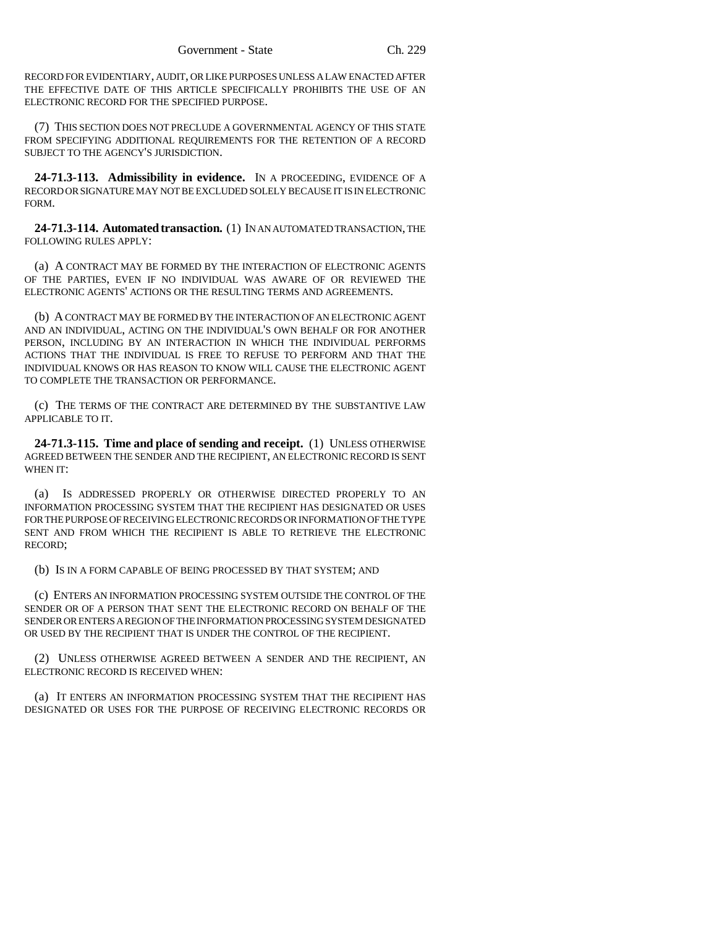RECORD FOR EVIDENTIARY, AUDIT, OR LIKE PURPOSES UNLESS A LAW ENACTED AFTER THE EFFECTIVE DATE OF THIS ARTICLE SPECIFICALLY PROHIBITS THE USE OF AN ELECTRONIC RECORD FOR THE SPECIFIED PURPOSE.

(7) THIS SECTION DOES NOT PRECLUDE A GOVERNMENTAL AGENCY OF THIS STATE FROM SPECIFYING ADDITIONAL REQUIREMENTS FOR THE RETENTION OF A RECORD SUBJECT TO THE AGENCY'S JURISDICTION.

**24-71.3-113. Admissibility in evidence.** IN A PROCEEDING, EVIDENCE OF A RECORD OR SIGNATURE MAY NOT BE EXCLUDED SOLELY BECAUSE IT IS IN ELECTRONIC FORM.

**24-71.3-114. Automated transaction.** (1) IN AN AUTOMATED TRANSACTION, THE FOLLOWING RULES APPLY:

(a) A CONTRACT MAY BE FORMED BY THE INTERACTION OF ELECTRONIC AGENTS OF THE PARTIES, EVEN IF NO INDIVIDUAL WAS AWARE OF OR REVIEWED THE ELECTRONIC AGENTS' ACTIONS OR THE RESULTING TERMS AND AGREEMENTS.

(b) A CONTRACT MAY BE FORMED BY THE INTERACTION OF AN ELECTRONIC AGENT AND AN INDIVIDUAL, ACTING ON THE INDIVIDUAL'S OWN BEHALF OR FOR ANOTHER PERSON, INCLUDING BY AN INTERACTION IN WHICH THE INDIVIDUAL PERFORMS ACTIONS THAT THE INDIVIDUAL IS FREE TO REFUSE TO PERFORM AND THAT THE INDIVIDUAL KNOWS OR HAS REASON TO KNOW WILL CAUSE THE ELECTRONIC AGENT TO COMPLETE THE TRANSACTION OR PERFORMANCE.

(c) THE TERMS OF THE CONTRACT ARE DETERMINED BY THE SUBSTANTIVE LAW APPLICABLE TO IT.

**24-71.3-115. Time and place of sending and receipt.** (1) UNLESS OTHERWISE AGREED BETWEEN THE SENDER AND THE RECIPIENT, AN ELECTRONIC RECORD IS SENT WHEN IT:

(a) IS ADDRESSED PROPERLY OR OTHERWISE DIRECTED PROPERLY TO AN INFORMATION PROCESSING SYSTEM THAT THE RECIPIENT HAS DESIGNATED OR USES FOR THE PURPOSE OF RECEIVING ELECTRONIC RECORDS OR INFORMATION OF THE TYPE SENT AND FROM WHICH THE RECIPIENT IS ABLE TO RETRIEVE THE ELECTRONIC RECORD;

(b) IS IN A FORM CAPABLE OF BEING PROCESSED BY THAT SYSTEM; AND

(c) ENTERS AN INFORMATION PROCESSING SYSTEM OUTSIDE THE CONTROL OF THE SENDER OR OF A PERSON THAT SENT THE ELECTRONIC RECORD ON BEHALF OF THE SENDER OR ENTERS A REGION OF THE INFORMATION PROCESSING SYSTEM DESIGNATED OR USED BY THE RECIPIENT THAT IS UNDER THE CONTROL OF THE RECIPIENT.

(2) UNLESS OTHERWISE AGREED BETWEEN A SENDER AND THE RECIPIENT, AN ELECTRONIC RECORD IS RECEIVED WHEN:

(a) IT ENTERS AN INFORMATION PROCESSING SYSTEM THAT THE RECIPIENT HAS DESIGNATED OR USES FOR THE PURPOSE OF RECEIVING ELECTRONIC RECORDS OR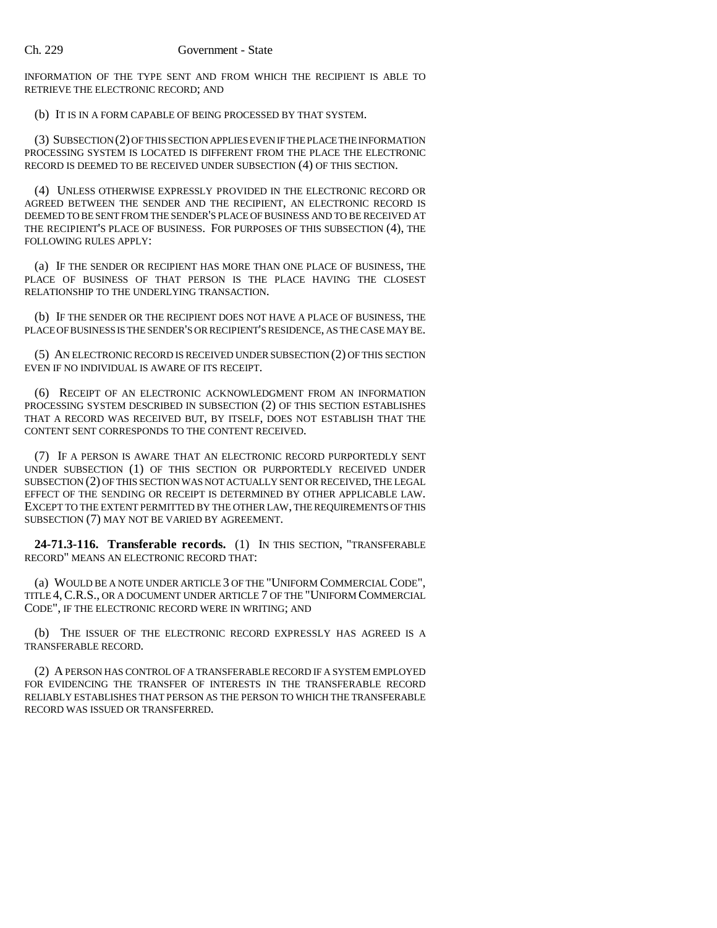INFORMATION OF THE TYPE SENT AND FROM WHICH THE RECIPIENT IS ABLE TO RETRIEVE THE ELECTRONIC RECORD; AND

(b) IT IS IN A FORM CAPABLE OF BEING PROCESSED BY THAT SYSTEM.

(3) SUBSECTION (2) OF THIS SECTION APPLIES EVEN IF THE PLACE THE INFORMATION PROCESSING SYSTEM IS LOCATED IS DIFFERENT FROM THE PLACE THE ELECTRONIC RECORD IS DEEMED TO BE RECEIVED UNDER SUBSECTION (4) OF THIS SECTION.

(4) UNLESS OTHERWISE EXPRESSLY PROVIDED IN THE ELECTRONIC RECORD OR AGREED BETWEEN THE SENDER AND THE RECIPIENT, AN ELECTRONIC RECORD IS DEEMED TO BE SENT FROM THE SENDER'S PLACE OF BUSINESS AND TO BE RECEIVED AT THE RECIPIENT'S PLACE OF BUSINESS. FOR PURPOSES OF THIS SUBSECTION (4), THE FOLLOWING RULES APPLY:

(a) IF THE SENDER OR RECIPIENT HAS MORE THAN ONE PLACE OF BUSINESS, THE PLACE OF BUSINESS OF THAT PERSON IS THE PLACE HAVING THE CLOSEST RELATIONSHIP TO THE UNDERLYING TRANSACTION.

(b) IF THE SENDER OR THE RECIPIENT DOES NOT HAVE A PLACE OF BUSINESS, THE PLACE OF BUSINESS IS THE SENDER'S OR RECIPIENT'S RESIDENCE, AS THE CASE MAY BE.

(5) AN ELECTRONIC RECORD IS RECEIVED UNDER SUBSECTION (2) OF THIS SECTION EVEN IF NO INDIVIDUAL IS AWARE OF ITS RECEIPT.

(6) RECEIPT OF AN ELECTRONIC ACKNOWLEDGMENT FROM AN INFORMATION PROCESSING SYSTEM DESCRIBED IN SUBSECTION (2) OF THIS SECTION ESTABLISHES THAT A RECORD WAS RECEIVED BUT, BY ITSELF, DOES NOT ESTABLISH THAT THE CONTENT SENT CORRESPONDS TO THE CONTENT RECEIVED.

(7) IF A PERSON IS AWARE THAT AN ELECTRONIC RECORD PURPORTEDLY SENT UNDER SUBSECTION (1) OF THIS SECTION OR PURPORTEDLY RECEIVED UNDER SUBSECTION (2) OF THIS SECTION WAS NOT ACTUALLY SENT OR RECEIVED, THE LEGAL EFFECT OF THE SENDING OR RECEIPT IS DETERMINED BY OTHER APPLICABLE LAW. EXCEPT TO THE EXTENT PERMITTED BY THE OTHER LAW, THE REQUIREMENTS OF THIS SUBSECTION (7) MAY NOT BE VARIED BY AGREEMENT.

**24-71.3-116. Transferable records.** (1) IN THIS SECTION, "TRANSFERABLE RECORD" MEANS AN ELECTRONIC RECORD THAT:

(a) WOULD BE A NOTE UNDER ARTICLE 3 OF THE "UNIFORM COMMERCIAL CODE", TITLE 4,C.R.S., OR A DOCUMENT UNDER ARTICLE 7 OF THE "UNIFORM COMMERCIAL CODE", IF THE ELECTRONIC RECORD WERE IN WRITING; AND

(b) THE ISSUER OF THE ELECTRONIC RECORD EXPRESSLY HAS AGREED IS A TRANSFERABLE RECORD.

(2) A PERSON HAS CONTROL OF A TRANSFERABLE RECORD IF A SYSTEM EMPLOYED FOR EVIDENCING THE TRANSFER OF INTERESTS IN THE TRANSFERABLE RECORD RELIABLY ESTABLISHES THAT PERSON AS THE PERSON TO WHICH THE TRANSFERABLE RECORD WAS ISSUED OR TRANSFERRED.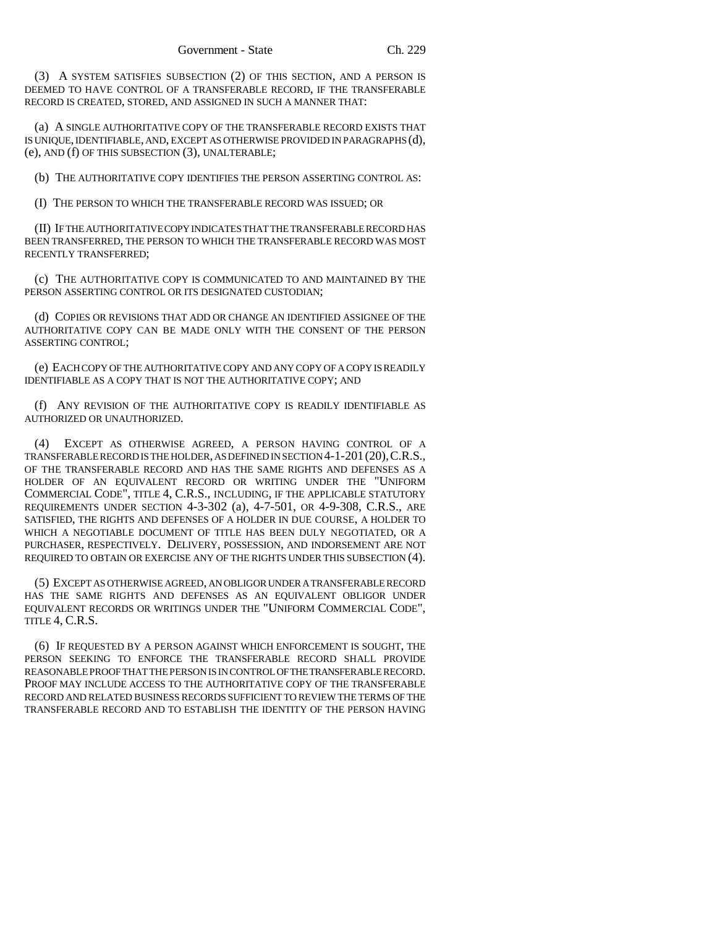(3) A SYSTEM SATISFIES SUBSECTION (2) OF THIS SECTION, AND A PERSON IS DEEMED TO HAVE CONTROL OF A TRANSFERABLE RECORD, IF THE TRANSFERABLE RECORD IS CREATED, STORED, AND ASSIGNED IN SUCH A MANNER THAT:

(a) A SINGLE AUTHORITATIVE COPY OF THE TRANSFERABLE RECORD EXISTS THAT IS UNIQUE, IDENTIFIABLE, AND, EXCEPT AS OTHERWISE PROVIDED IN PARAGRAPHS (d), (e), AND (f) OF THIS SUBSECTION (3), UNALTERABLE;

(b) THE AUTHORITATIVE COPY IDENTIFIES THE PERSON ASSERTING CONTROL AS:

(I) THE PERSON TO WHICH THE TRANSFERABLE RECORD WAS ISSUED; OR

(II) IF THE AUTHORITATIVE COPY INDICATES THAT THE TRANSFERABLE RECORD HAS BEEN TRANSFERRED, THE PERSON TO WHICH THE TRANSFERABLE RECORD WAS MOST RECENTLY TRANSFERRED;

(c) THE AUTHORITATIVE COPY IS COMMUNICATED TO AND MAINTAINED BY THE PERSON ASSERTING CONTROL OR ITS DESIGNATED CUSTODIAN;

(d) COPIES OR REVISIONS THAT ADD OR CHANGE AN IDENTIFIED ASSIGNEE OF THE AUTHORITATIVE COPY CAN BE MADE ONLY WITH THE CONSENT OF THE PERSON ASSERTING CONTROL;

(e) EACH COPY OF THE AUTHORITATIVE COPY AND ANY COPY OF A COPY IS READILY IDENTIFIABLE AS A COPY THAT IS NOT THE AUTHORITATIVE COPY; AND

(f) ANY REVISION OF THE AUTHORITATIVE COPY IS READILY IDENTIFIABLE AS AUTHORIZED OR UNAUTHORIZED.

(4) EXCEPT AS OTHERWISE AGREED, A PERSON HAVING CONTROL OF A TRANSFERABLE RECORD IS THE HOLDER, AS DEFINED IN SECTION 4-1-201(20),C.R.S., OF THE TRANSFERABLE RECORD AND HAS THE SAME RIGHTS AND DEFENSES AS A HOLDER OF AN EQUIVALENT RECORD OR WRITING UNDER THE "UNIFORM COMMERCIAL CODE", TITLE 4, C.R.S., INCLUDING, IF THE APPLICABLE STATUTORY REQUIREMENTS UNDER SECTION 4-3-302 (a), 4-7-501, OR 4-9-308, C.R.S., ARE SATISFIED, THE RIGHTS AND DEFENSES OF A HOLDER IN DUE COURSE, A HOLDER TO WHICH A NEGOTIABLE DOCUMENT OF TITLE HAS BEEN DULY NEGOTIATED, OR A PURCHASER, RESPECTIVELY. DELIVERY, POSSESSION, AND INDORSEMENT ARE NOT REQUIRED TO OBTAIN OR EXERCISE ANY OF THE RIGHTS UNDER THIS SUBSECTION (4).

(5) EXCEPT AS OTHERWISE AGREED, AN OBLIGOR UNDER A TRANSFERABLE RECORD HAS THE SAME RIGHTS AND DEFENSES AS AN EQUIVALENT OBLIGOR UNDER EQUIVALENT RECORDS OR WRITINGS UNDER THE "UNIFORM COMMERCIAL CODE", TITLE 4, C.R.S.

(6) IF REQUESTED BY A PERSON AGAINST WHICH ENFORCEMENT IS SOUGHT, THE PERSON SEEKING TO ENFORCE THE TRANSFERABLE RECORD SHALL PROVIDE REASONABLE PROOF THAT THE PERSON IS IN CONTROL OF THE TRANSFERABLE RECORD. PROOF MAY INCLUDE ACCESS TO THE AUTHORITATIVE COPY OF THE TRANSFERABLE RECORD AND RELATED BUSINESS RECORDS SUFFICIENT TO REVIEW THE TERMS OF THE TRANSFERABLE RECORD AND TO ESTABLISH THE IDENTITY OF THE PERSON HAVING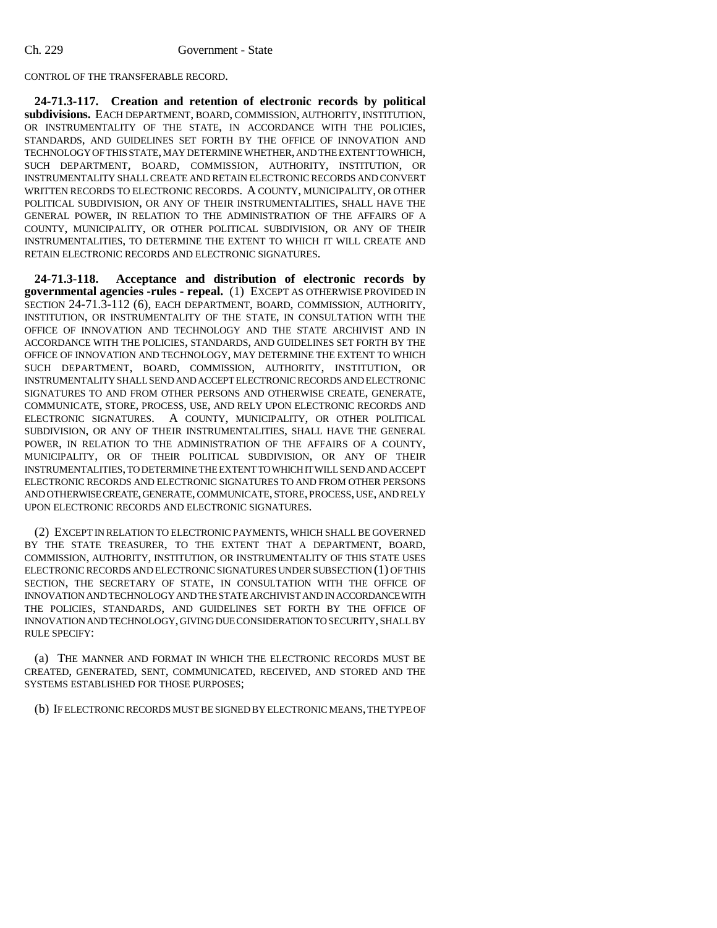CONTROL OF THE TRANSFERABLE RECORD.

**24-71.3-117. Creation and retention of electronic records by political subdivisions.** EACH DEPARTMENT, BOARD, COMMISSION, AUTHORITY, INSTITUTION, OR INSTRUMENTALITY OF THE STATE, IN ACCORDANCE WITH THE POLICIES, STANDARDS, AND GUIDELINES SET FORTH BY THE OFFICE OF INNOVATION AND TECHNOLOGY OF THIS STATE, MAY DETERMINE WHETHER, AND THE EXTENT TO WHICH, SUCH DEPARTMENT, BOARD, COMMISSION, AUTHORITY, INSTITUTION, OR INSTRUMENTALITY SHALL CREATE AND RETAIN ELECTRONIC RECORDS AND CONVERT WRITTEN RECORDS TO ELECTRONIC RECORDS. A COUNTY, MUNICIPALITY, OR OTHER POLITICAL SUBDIVISION, OR ANY OF THEIR INSTRUMENTALITIES, SHALL HAVE THE GENERAL POWER, IN RELATION TO THE ADMINISTRATION OF THE AFFAIRS OF A COUNTY, MUNICIPALITY, OR OTHER POLITICAL SUBDIVISION, OR ANY OF THEIR INSTRUMENTALITIES, TO DETERMINE THE EXTENT TO WHICH IT WILL CREATE AND RETAIN ELECTRONIC RECORDS AND ELECTRONIC SIGNATURES.

**24-71.3-118. Acceptance and distribution of electronic records by governmental agencies -rules - repeal.** (1) EXCEPT AS OTHERWISE PROVIDED IN SECTION 24-71.3-112 (6), EACH DEPARTMENT, BOARD, COMMISSION, AUTHORITY, INSTITUTION, OR INSTRUMENTALITY OF THE STATE, IN CONSULTATION WITH THE OFFICE OF INNOVATION AND TECHNOLOGY AND THE STATE ARCHIVIST AND IN ACCORDANCE WITH THE POLICIES, STANDARDS, AND GUIDELINES SET FORTH BY THE OFFICE OF INNOVATION AND TECHNOLOGY, MAY DETERMINE THE EXTENT TO WHICH SUCH DEPARTMENT, BOARD, COMMISSION, AUTHORITY, INSTITUTION, OR INSTRUMENTALITY SHALL SEND AND ACCEPT ELECTRONIC RECORDS AND ELECTRONIC SIGNATURES TO AND FROM OTHER PERSONS AND OTHERWISE CREATE, GENERATE, COMMUNICATE, STORE, PROCESS, USE, AND RELY UPON ELECTRONIC RECORDS AND ELECTRONIC SIGNATURES. A COUNTY, MUNICIPALITY, OR OTHER POLITICAL SUBDIVISION, OR ANY OF THEIR INSTRUMENTALITIES, SHALL HAVE THE GENERAL POWER, IN RELATION TO THE ADMINISTRATION OF THE AFFAIRS OF A COUNTY, MUNICIPALITY, OR OF THEIR POLITICAL SUBDIVISION, OR ANY OF THEIR INSTRUMENTALITIES, TO DETERMINE THE EXTENT TO WHICH IT WILL SEND AND ACCEPT ELECTRONIC RECORDS AND ELECTRONIC SIGNATURES TO AND FROM OTHER PERSONS AND OTHERWISE CREATE, GENERATE, COMMUNICATE, STORE, PROCESS, USE, AND RELY UPON ELECTRONIC RECORDS AND ELECTRONIC SIGNATURES.

(2) EXCEPT IN RELATION TO ELECTRONIC PAYMENTS, WHICH SHALL BE GOVERNED BY THE STATE TREASURER, TO THE EXTENT THAT A DEPARTMENT, BOARD, COMMISSION, AUTHORITY, INSTITUTION, OR INSTRUMENTALITY OF THIS STATE USES ELECTRONIC RECORDS AND ELECTRONIC SIGNATURES UNDER SUBSECTION (1) OF THIS SECTION, THE SECRETARY OF STATE, IN CONSULTATION WITH THE OFFICE OF INNOVATION AND TECHNOLOGY AND THE STATE ARCHIVIST AND IN ACCORDANCE WITH THE POLICIES, STANDARDS, AND GUIDELINES SET FORTH BY THE OFFICE OF INNOVATION AND TECHNOLOGY, GIVING DUE CONSIDERATION TO SECURITY, SHALL BY RULE SPECIFY:

(a) THE MANNER AND FORMAT IN WHICH THE ELECTRONIC RECORDS MUST BE CREATED, GENERATED, SENT, COMMUNICATED, RECEIVED, AND STORED AND THE SYSTEMS ESTABLISHED FOR THOSE PURPOSES;

(b) IF ELECTRONIC RECORDS MUST BE SIGNED BY ELECTRONIC MEANS, THE TYPE OF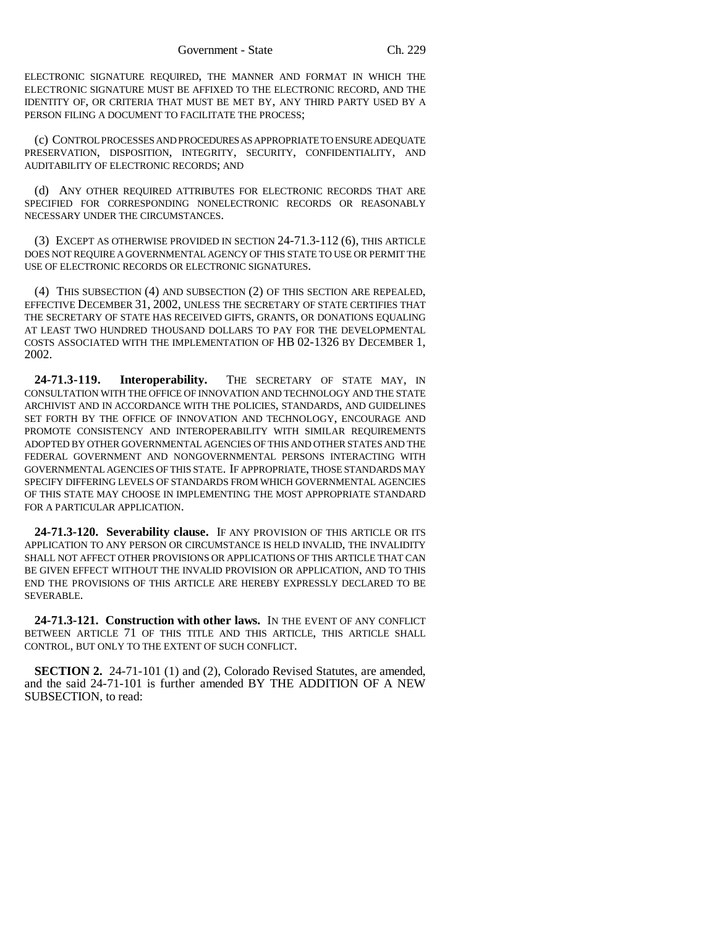ELECTRONIC SIGNATURE REQUIRED, THE MANNER AND FORMAT IN WHICH THE ELECTRONIC SIGNATURE MUST BE AFFIXED TO THE ELECTRONIC RECORD, AND THE IDENTITY OF, OR CRITERIA THAT MUST BE MET BY, ANY THIRD PARTY USED BY A PERSON FILING A DOCUMENT TO FACILITATE THE PROCESS;

(c) CONTROL PROCESSES AND PROCEDURES AS APPROPRIATE TO ENSURE ADEQUATE PRESERVATION, DISPOSITION, INTEGRITY, SECURITY, CONFIDENTIALITY, AND AUDITABILITY OF ELECTRONIC RECORDS; AND

(d) ANY OTHER REQUIRED ATTRIBUTES FOR ELECTRONIC RECORDS THAT ARE SPECIFIED FOR CORRESPONDING NONELECTRONIC RECORDS OR REASONABLY NECESSARY UNDER THE CIRCUMSTANCES.

(3) EXCEPT AS OTHERWISE PROVIDED IN SECTION 24-71.3-112 (6), THIS ARTICLE DOES NOT REQUIRE A GOVERNMENTAL AGENCY OF THIS STATE TO USE OR PERMIT THE USE OF ELECTRONIC RECORDS OR ELECTRONIC SIGNATURES.

(4) THIS SUBSECTION (4) AND SUBSECTION (2) OF THIS SECTION ARE REPEALED, EFFECTIVE DECEMBER 31, 2002, UNLESS THE SECRETARY OF STATE CERTIFIES THAT THE SECRETARY OF STATE HAS RECEIVED GIFTS, GRANTS, OR DONATIONS EQUALING AT LEAST TWO HUNDRED THOUSAND DOLLARS TO PAY FOR THE DEVELOPMENTAL COSTS ASSOCIATED WITH THE IMPLEMENTATION OF HB 02-1326 BY DECEMBER 1, 2002.

**24-71.3-119. Interoperability.** THE SECRETARY OF STATE MAY, IN CONSULTATION WITH THE OFFICE OF INNOVATION AND TECHNOLOGY AND THE STATE ARCHIVIST AND IN ACCORDANCE WITH THE POLICIES, STANDARDS, AND GUIDELINES SET FORTH BY THE OFFICE OF INNOVATION AND TECHNOLOGY, ENCOURAGE AND PROMOTE CONSISTENCY AND INTEROPERABILITY WITH SIMILAR REQUIREMENTS ADOPTED BY OTHER GOVERNMENTAL AGENCIES OF THIS AND OTHER STATES AND THE FEDERAL GOVERNMENT AND NONGOVERNMENTAL PERSONS INTERACTING WITH GOVERNMENTAL AGENCIES OF THIS STATE. IF APPROPRIATE, THOSE STANDARDS MAY SPECIFY DIFFERING LEVELS OF STANDARDS FROM WHICH GOVERNMENTAL AGENCIES OF THIS STATE MAY CHOOSE IN IMPLEMENTING THE MOST APPROPRIATE STANDARD FOR A PARTICULAR APPLICATION.

**24-71.3-120. Severability clause.** IF ANY PROVISION OF THIS ARTICLE OR ITS APPLICATION TO ANY PERSON OR CIRCUMSTANCE IS HELD INVALID, THE INVALIDITY SHALL NOT AFFECT OTHER PROVISIONS OR APPLICATIONS OF THIS ARTICLE THAT CAN BE GIVEN EFFECT WITHOUT THE INVALID PROVISION OR APPLICATION, AND TO THIS END THE PROVISIONS OF THIS ARTICLE ARE HEREBY EXPRESSLY DECLARED TO BE SEVERABLE.

**24-71.3-121. Construction with other laws.** IN THE EVENT OF ANY CONFLICT BETWEEN ARTICLE 71 OF THIS TITLE AND THIS ARTICLE, THIS ARTICLE SHALL CONTROL, BUT ONLY TO THE EXTENT OF SUCH CONFLICT.

**SECTION 2.** 24-71-101 (1) and (2), Colorado Revised Statutes, are amended, and the said 24-71-101 is further amended BY THE ADDITION OF A NEW SUBSECTION, to read: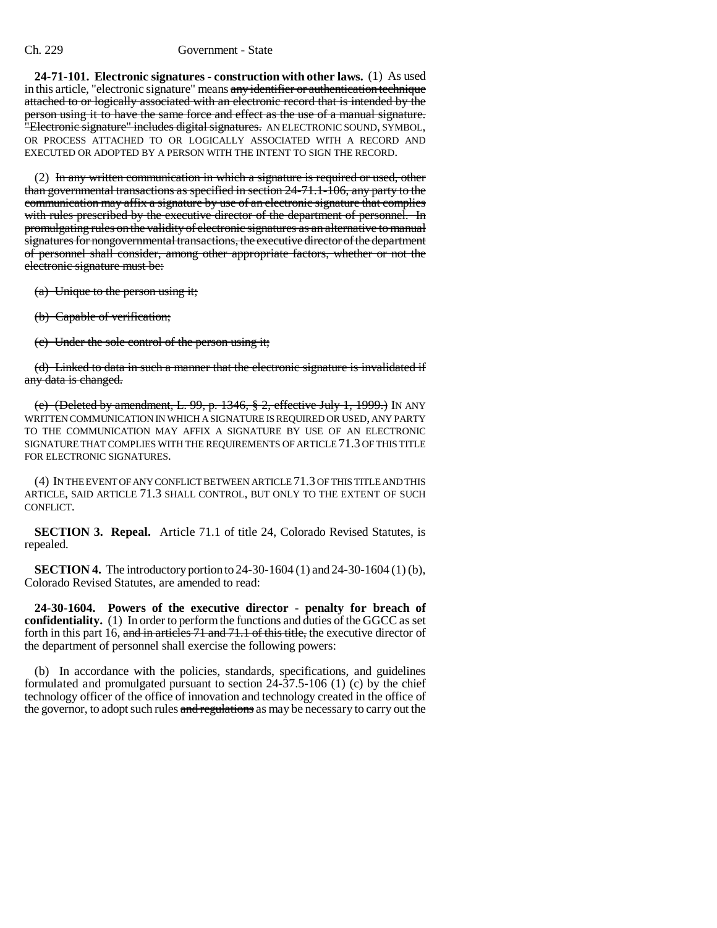#### Ch. 229 Government - State

**24-71-101. Electronic signatures - construction with other laws.** (1) As used in this article, "electronic signature" means any identifier or authentication technique attached to or logically associated with an electronic record that is intended by the person using it to have the same force and effect as the use of a manual signature. "Electronic signature" includes digital signatures. AN ELECTRONIC SOUND, SYMBOL, OR PROCESS ATTACHED TO OR LOGICALLY ASSOCIATED WITH A RECORD AND EXECUTED OR ADOPTED BY A PERSON WITH THE INTENT TO SIGN THE RECORD.

(2) In any written communication in which a signature is required or used, other than governmental transactions as specified in section 24-71.1-106, any party to the communication may affix a signature by use of an electronic signature that complies with rules prescribed by the executive director of the department of personnel. In promulgating rules on the validity of electronic signatures as an alternative to manual signatures for nongovernmental transactions, the executive director of the department of personnel shall consider, among other appropriate factors, whether or not the electronic signature must be:

(a) Unique to the person using it;

(b) Capable of verification;

(c) Under the sole control of the person using it;

(d) Linked to data in such a manner that the electronic signature is invalidated if any data is changed.

(e) (Deleted by amendment, L. 99, p. 1346, § 2, effective July 1, 1999.) IN ANY WRITTEN COMMUNICATION IN WHICH A SIGNATURE IS REQUIRED OR USED, ANY PARTY TO THE COMMUNICATION MAY AFFIX A SIGNATURE BY USE OF AN ELECTRONIC SIGNATURE THAT COMPLIES WITH THE REQUIREMENTS OF ARTICLE 71.3 OF THIS TITLE FOR ELECTRONIC SIGNATURES.

(4) IN THE EVENT OF ANY CONFLICT BETWEEN ARTICLE 71.3 OF THIS TITLE AND THIS ARTICLE, SAID ARTICLE 71.3 SHALL CONTROL, BUT ONLY TO THE EXTENT OF SUCH CONFLICT.

**SECTION 3. Repeal.** Article 71.1 of title 24, Colorado Revised Statutes, is repealed.

**SECTION 4.** The introductory portion to 24-30-1604 (1) and 24-30-1604 (1) (b), Colorado Revised Statutes, are amended to read:

**24-30-1604. Powers of the executive director - penalty for breach of confidentiality.** (1) In order to perform the functions and duties of the GGCC as set forth in this part 16, and in articles 71 and 71.1 of this title, the executive director of the department of personnel shall exercise the following powers:

(b) In accordance with the policies, standards, specifications, and guidelines formulated and promulgated pursuant to section 24-37.5-106 (1) (c) by the chief technology officer of the office of innovation and technology created in the office of the governor, to adopt such rules and regulations as may be necessary to carry out the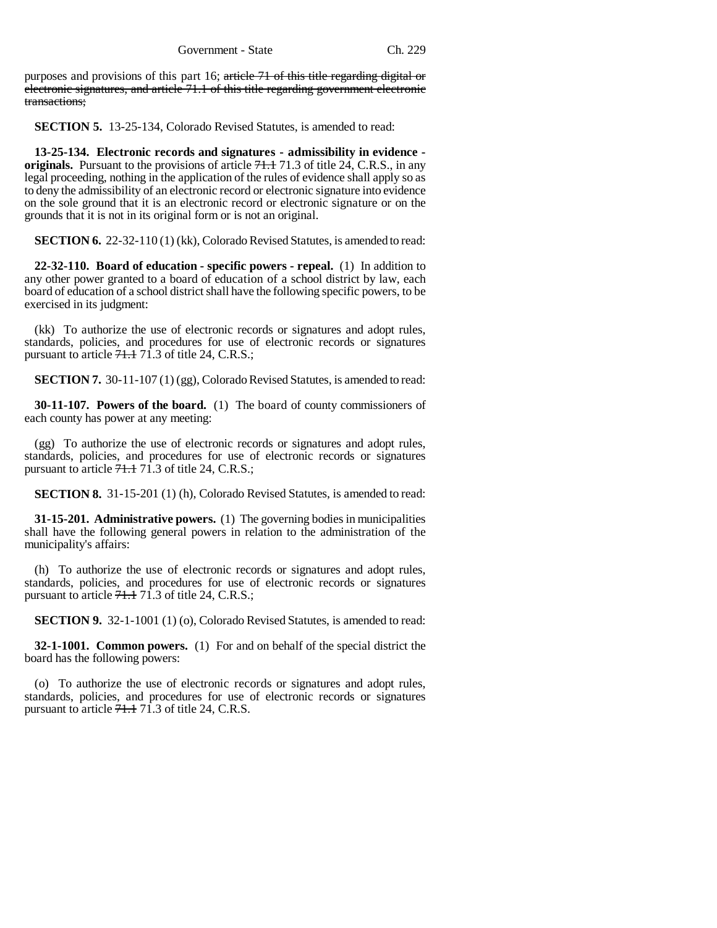purposes and provisions of this part 16; article 71 of this title regarding digital or electronic signatures, and article 71.1 of this title regarding government electronic transactions;

**SECTION 5.** 13-25-134, Colorado Revised Statutes, is amended to read:

**13-25-134. Electronic records and signatures - admissibility in evidence originals.** Pursuant to the provisions of article  $71.1$ ,  $71.3$  of title 24, C.R.S., in any legal proceeding, nothing in the application of the rules of evidence shall apply so as to deny the admissibility of an electronic record or electronic signature into evidence on the sole ground that it is an electronic record or electronic signature or on the grounds that it is not in its original form or is not an original.

**SECTION 6.** 22-32-110 (1) (kk), Colorado Revised Statutes, is amended to read:

**22-32-110. Board of education - specific powers - repeal.** (1) In addition to any other power granted to a board of education of a school district by law, each board of education of a school district shall have the following specific powers, to be exercised in its judgment:

(kk) To authorize the use of electronic records or signatures and adopt rules, standards, policies, and procedures for use of electronic records or signatures pursuant to article  $71.1$  71.3 of title 24, C.R.S.;

**SECTION 7.** 30-11-107 (1) (gg), Colorado Revised Statutes, is amended to read:

**30-11-107. Powers of the board.** (1) The board of county commissioners of each county has power at any meeting:

(gg) To authorize the use of electronic records or signatures and adopt rules, standards, policies, and procedures for use of electronic records or signatures pursuant to article  $71.1$  71.3 of title 24, C.R.S.;

**SECTION 8.** 31-15-201 (1) (h), Colorado Revised Statutes, is amended to read:

**31-15-201. Administrative powers.** (1) The governing bodies in municipalities shall have the following general powers in relation to the administration of the municipality's affairs:

(h) To authorize the use of electronic records or signatures and adopt rules, standards, policies, and procedures for use of electronic records or signatures pursuant to article  $71.1$  71.3 of title 24, C.R.S.;

**SECTION 9.** 32-1-1001 (1) (o), Colorado Revised Statutes, is amended to read:

**32-1-1001. Common powers.** (1) For and on behalf of the special district the board has the following powers:

(o) To authorize the use of electronic records or signatures and adopt rules, standards, policies, and procedures for use of electronic records or signatures pursuant to article 71.1 71.3 of title 24, C.R.S.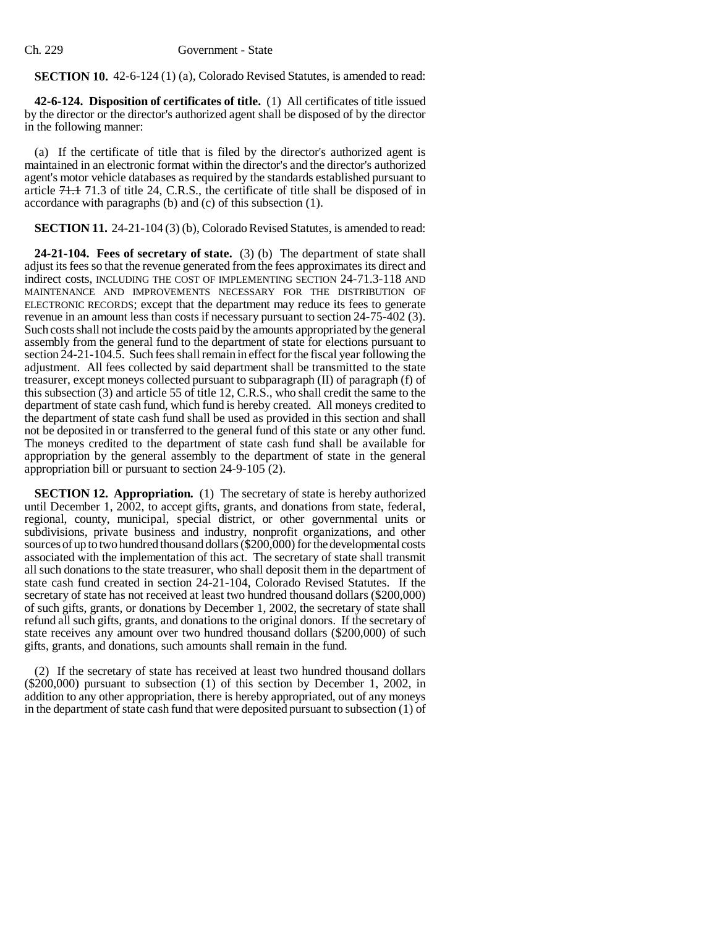**SECTION 10.** 42-6-124 (1) (a), Colorado Revised Statutes, is amended to read:

**42-6-124. Disposition of certificates of title.** (1) All certificates of title issued by the director or the director's authorized agent shall be disposed of by the director in the following manner:

(a) If the certificate of title that is filed by the director's authorized agent is maintained in an electronic format within the director's and the director's authorized agent's motor vehicle databases as required by the standards established pursuant to article 71.1 71.3 of title 24, C.R.S., the certificate of title shall be disposed of in accordance with paragraphs (b) and (c) of this subsection (1).

**SECTION 11.** 24-21-104 (3) (b), Colorado Revised Statutes, is amended to read:

**24-21-104. Fees of secretary of state.** (3) (b) The department of state shall adjust its fees so that the revenue generated from the fees approximates its direct and indirect costs, INCLUDING THE COST OF IMPLEMENTING SECTION 24-71.3-118 AND MAINTENANCE AND IMPROVEMENTS NECESSARY FOR THE DISTRIBUTION OF ELECTRONIC RECORDS; except that the department may reduce its fees to generate revenue in an amount less than costs if necessary pursuant to section 24-75-402 (3). Such costs shall not include the costs paid by the amounts appropriated by the general assembly from the general fund to the department of state for elections pursuant to section 24-21-104.5. Such fees shall remain in effect for the fiscal year following the adjustment. All fees collected by said department shall be transmitted to the state treasurer, except moneys collected pursuant to subparagraph (II) of paragraph (f) of this subsection (3) and article 55 of title 12, C.R.S., who shall credit the same to the department of state cash fund, which fund is hereby created. All moneys credited to the department of state cash fund shall be used as provided in this section and shall not be deposited in or transferred to the general fund of this state or any other fund. The moneys credited to the department of state cash fund shall be available for appropriation by the general assembly to the department of state in the general appropriation bill or pursuant to section 24-9-105 (2).

**SECTION 12. Appropriation.** (1) The secretary of state is hereby authorized until December 1, 2002, to accept gifts, grants, and donations from state, federal, regional, county, municipal, special district, or other governmental units or subdivisions, private business and industry, nonprofit organizations, and other sources of up to two hundred thousand dollars (\$200,000) for the developmental costs associated with the implementation of this act. The secretary of state shall transmit all such donations to the state treasurer, who shall deposit them in the department of state cash fund created in section 24-21-104, Colorado Revised Statutes. If the secretary of state has not received at least two hundred thousand dollars (\$200,000) of such gifts, grants, or donations by December 1, 2002, the secretary of state shall refund all such gifts, grants, and donations to the original donors. If the secretary of state receives any amount over two hundred thousand dollars (\$200,000) of such gifts, grants, and donations, such amounts shall remain in the fund.

(2) If the secretary of state has received at least two hundred thousand dollars (\$200,000) pursuant to subsection (1) of this section by December 1, 2002, in addition to any other appropriation, there is hereby appropriated, out of any moneys in the department of state cash fund that were deposited pursuant to subsection (1) of